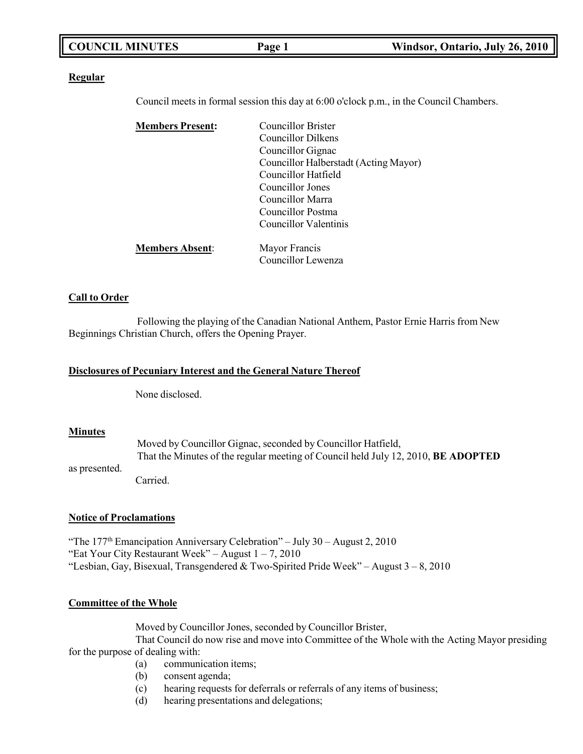| <b>COUNCIL MINUTES</b> | Page 1 | Windsor, Ontario, July 26, 2010 |
|------------------------|--------|---------------------------------|
|                        |        |                                 |

## **Regular**

Council meets in formal session this day at 6:00 o'clock p.m., in the Council Chambers.

| <b>Members Present:</b> | <b>Councillor Brister</b>             |  |
|-------------------------|---------------------------------------|--|
|                         | Councillor Dilkens                    |  |
|                         | Councillor Gignac                     |  |
|                         | Councillor Halberstadt (Acting Mayor) |  |
|                         | Councillor Hatfield                   |  |
|                         | Councillor Jones                      |  |
|                         | Councillor Marra                      |  |
|                         | Councillor Postma                     |  |
|                         | Councillor Valentinis                 |  |
| <b>Members Absent:</b>  | Mayor Francis                         |  |
|                         | Councillor Lewenza                    |  |

## **Call to Order**

Following the playing of the Canadian National Anthem, Pastor Ernie Harris from New Beginnings Christian Church, offers the Opening Prayer.

### **Disclosures of Pecuniary Interest and the General Nature Thereof**

None disclosed.

### **Minutes**

as presented. Moved by Councillor Gignac, seconded by Councillor Hatfield, That the Minutes of the regular meeting of Council held July 12, 2010, **BE ADOPTED**

Carried.

## **Notice of Proclamations**

"The  $177<sup>th</sup>$  Emancipation Anniversary Celebration" – July 30 – August 2, 2010 "Eat Your City Restaurant Week" – August  $1 - 7$ , 2010 "Lesbian, Gay, Bisexual, Transgendered & Two-Spirited Pride Week" – August  $3 - 8$ , 2010

### **Committee of the Whole**

Moved by Councillor Jones, seconded by Councillor Brister,

That Council do now rise and move into Committee of the Whole with the Acting Mayor presiding for the purpose of dealing with:

- (a) communication items;
- (b) consent agenda;
- (c) hearing requests for deferrals or referrals of any items of business;
- (d) hearing presentations and delegations;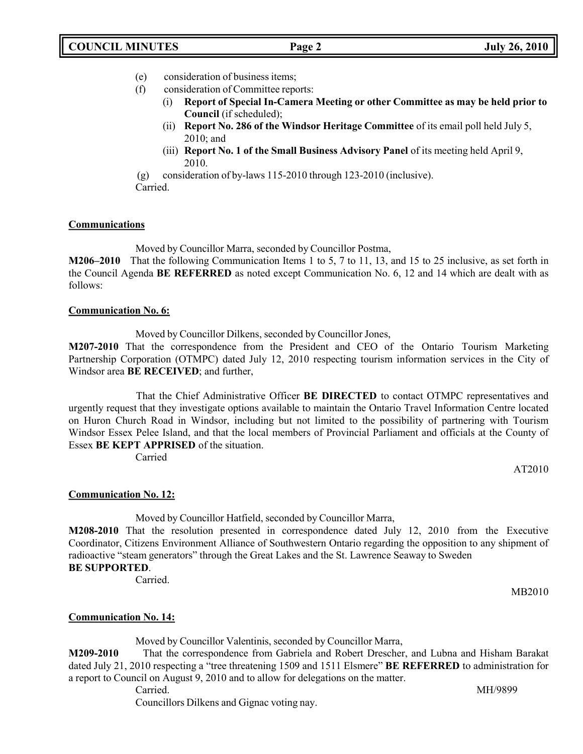- (e) consideration of business items;
- (f) consideration of Committee reports:
	- (i) **Report of Special In-Camera Meeting or other Committee as may be held prior to Council** (if scheduled);
		- (ii) **Report No. 286 of the Windsor Heritage Committee** of its email poll held July 5, 2010; and
		- (iii) **Report No. 1 of the Small Business Advisory Panel** of its meeting held April 9, 2010.

(g) consideration of by-laws 115-2010 through 123-2010 (inclusive).

Carried.

# **Communications**

Moved by Councillor Marra, seconded by Councillor Postma,

**M206–2010** That the following Communication Items 1 to 5, 7 to 11, 13, and 15 to 25 inclusive, as set forth in the Council Agenda **BE REFERRED** as noted except Communication No. 6, 12 and 14 which are dealt with as follows:

# **Communication No. 6:**

Moved by Councillor Dilkens, seconded by Councillor Jones,

**M207-2010** That the correspondence from the President and CEO of the Ontario Tourism Marketing Partnership Corporation (OTMPC) dated July 12, 2010 respecting tourism information services in the City of Windsor area **BE RECEIVED**; and further,

That the Chief Administrative Officer **BE DIRECTED** to contact OTMPC representatives and urgently request that they investigate options available to maintain the Ontario Travel Information Centre located on Huron Church Road in Windsor, including but not limited to the possibility of partnering with Tourism Windsor Essex Pelee Island, and that the local members of Provincial Parliament and officials at the County of Essex **BE KEPT APPRISED** of the situation.

Carried

AT2010

# **Communication No. 12:**

Moved by Councillor Hatfield, seconded by Councillor Marra,

**M208-2010** That the resolution presented in correspondence dated July 12, 2010 from the Executive Coordinator, Citizens Environment Alliance of Southwestern Ontario regarding the opposition to any shipment of radioactive "steam generators" through the Great Lakes and the St. Lawrence Seaway to Sweden **BE SUPPORTED**.

Carried.

MB2010

# **Communication No. 14:**

Moved by Councillor Valentinis, seconded by Councillor Marra,

**M209-2010** That the correspondence from Gabriela and Robert Drescher, and Lubna and Hisham Barakat dated July 21, 2010 respecting a "tree threatening 1509 and 1511 Elsmere" **BE REFERRED** to administration for a report to Council on August 9, 2010 and to allow for delegations on the matter.

Carried. MH/9899

Councillors Dilkens and Gignac voting nay.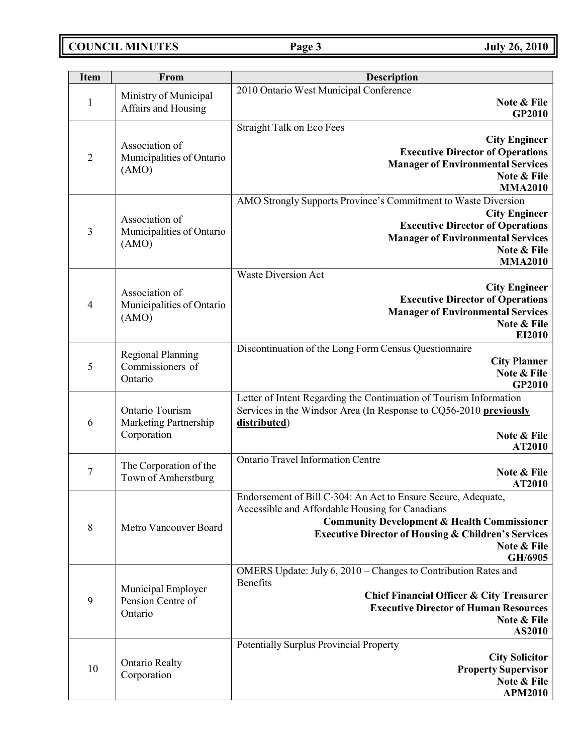# **COUNCIL MINUTES Page 3 July 26, 2010**

| <b>Item</b>    | From                                                    | Description                                                                                                                                                                                                                                                            |  |
|----------------|---------------------------------------------------------|------------------------------------------------------------------------------------------------------------------------------------------------------------------------------------------------------------------------------------------------------------------------|--|
| $\mathbf{1}$   | Ministry of Municipal<br>Affairs and Housing            | 2010 Ontario West Municipal Conference<br>Note & File<br><b>GP2010</b>                                                                                                                                                                                                 |  |
| $\overline{2}$ | Association of<br>Municipalities of Ontario<br>(AMO)    | <b>Straight Talk on Eco Fees</b><br><b>City Engineer</b><br><b>Executive Director of Operations</b><br><b>Manager of Environmental Services</b><br>Note & File<br><b>MMA2010</b>                                                                                       |  |
| 3              | Association of<br>Municipalities of Ontario<br>(AMO)    | AMO Strongly Supports Province's Commitment to Waste Diversion<br><b>City Engineer</b><br><b>Executive Director of Operations</b><br><b>Manager of Environmental Services</b><br>Note & File<br><b>MMA2010</b>                                                         |  |
| 4              | Association of<br>Municipalities of Ontario<br>(AMO)    | <b>Waste Diversion Act</b><br><b>City Engineer</b><br><b>Executive Director of Operations</b><br><b>Manager of Environmental Services</b><br>Note & File<br>EI2010                                                                                                     |  |
| 5              | <b>Regional Planning</b><br>Commissioners of<br>Ontario | Discontinuation of the Long Form Census Questionnaire<br><b>City Planner</b><br>Note & File<br>GP2010                                                                                                                                                                  |  |
| 6              | Ontario Tourism<br>Marketing Partnership<br>Corporation | Letter of Intent Regarding the Continuation of Tourism Information<br>Services in the Windsor Area (In Response to CQ56-2010 previously<br>distributed)<br>Note & File<br>AT2010                                                                                       |  |
| $\tau$         | The Corporation of the<br>Town of Amherstburg           | <b>Ontario Travel Information Centre</b><br>Note & File<br>AT2010                                                                                                                                                                                                      |  |
| $8\,$          | Metro Vancouver Board                                   | Endorsement of Bill C-304: An Act to Ensure Secure, Adequate,<br>Accessible and Affordable Housing for Canadians<br><b>Community Development &amp; Health Commissioner</b><br><b>Executive Director of Housing &amp; Children's Services</b><br>Note & File<br>GH/6905 |  |
| 9              | Municipal Employer<br>Pension Centre of<br>Ontario      | OMERS Update: July 6, 2010 – Changes to Contribution Rates and<br>Benefits<br><b>Chief Financial Officer &amp; City Treasurer</b><br><b>Executive Director of Human Resources</b><br>Note & File<br>AS2010                                                             |  |
| 10             | <b>Ontario Realty</b><br>Corporation                    | Potentially Surplus Provincial Property<br><b>City Solicitor</b><br><b>Property Supervisor</b><br>Note & File<br><b>APM2010</b>                                                                                                                                        |  |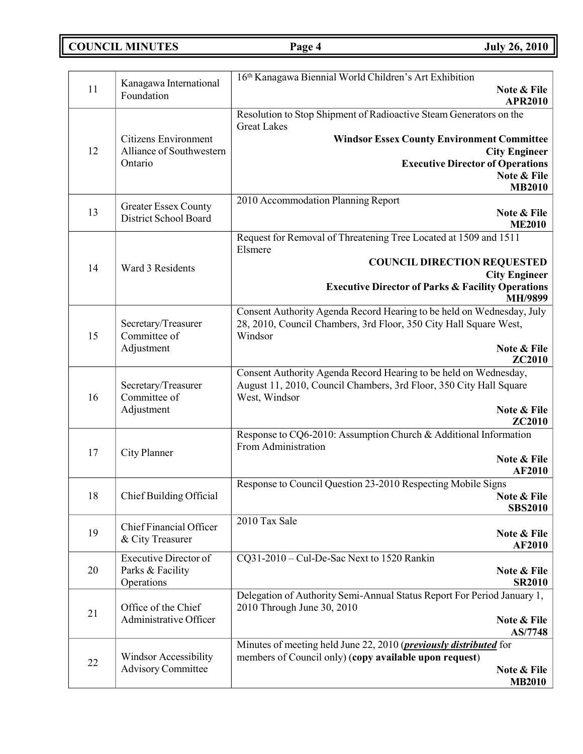**COUNCIL MINUTES Page 4 July 26, 2010**

| 11 | Kanagawa International<br>Foundation                      | 16th Kanagawa Biennial World Children's Art Exhibition<br>Note & File<br><b>APR2010</b>                                                |
|----|-----------------------------------------------------------|----------------------------------------------------------------------------------------------------------------------------------------|
|    |                                                           | Resolution to Stop Shipment of Radioactive Steam Generators on the                                                                     |
|    |                                                           | <b>Great Lakes</b>                                                                                                                     |
|    | <b>Citizens Environment</b>                               | <b>Windsor Essex County Environment Committee</b>                                                                                      |
| 12 | Alliance of Southwestern<br>Ontario                       | <b>City Engineer</b><br><b>Executive Director of Operations</b>                                                                        |
|    |                                                           | Note & File                                                                                                                            |
|    |                                                           | <b>MB2010</b>                                                                                                                          |
|    | <b>Greater Essex County</b>                               | 2010 Accommodation Planning Report                                                                                                     |
| 13 | District School Board                                     | Note & File<br><b>ME2010</b>                                                                                                           |
|    |                                                           | Request for Removal of Threatening Tree Located at 1509 and 1511                                                                       |
|    |                                                           | Elsmere                                                                                                                                |
| 14 | Ward 3 Residents                                          | <b>COUNCIL DIRECTION REQUESTED</b>                                                                                                     |
|    |                                                           | <b>City Engineer</b><br><b>Executive Director of Parks &amp; Facility Operations</b>                                                   |
|    |                                                           | <b>MH/9899</b>                                                                                                                         |
|    |                                                           | Consent Authority Agenda Record Hearing to be held on Wednesday, July                                                                  |
| 15 | Secretary/Treasurer<br>Committee of                       | 28, 2010, Council Chambers, 3rd Floor, 350 City Hall Square West,<br>Windsor                                                           |
|    | Adjustment                                                | Note & File                                                                                                                            |
|    |                                                           | <b>ZC2010</b>                                                                                                                          |
|    | Secretary/Treasurer                                       | Consent Authority Agenda Record Hearing to be held on Wednesday,<br>August 11, 2010, Council Chambers, 3rd Floor, 350 City Hall Square |
| 16 | Committee of                                              | West, Windsor                                                                                                                          |
|    | Adjustment                                                | Note & File                                                                                                                            |
|    |                                                           | ZC2010                                                                                                                                 |
|    |                                                           | Response to CQ6-2010: Assumption Church & Additional Information<br>From Administration                                                |
| 17 | City Planner                                              | Note & File                                                                                                                            |
|    |                                                           | <b>AF2010</b>                                                                                                                          |
| 18 | Chief Building Official                                   | Response to Council Question 23-2010 Respecting Mobile Signs<br>Note & File                                                            |
|    |                                                           | <b>SBS2010</b>                                                                                                                         |
|    | Chief Financial Officer                                   | 2010 Tax Sale                                                                                                                          |
| 19 | & City Treasurer                                          | Note & File<br><b>AF2010</b>                                                                                                           |
|    | Executive Director of                                     | CQ31-2010 - Cul-De-Sac Next to 1520 Rankin                                                                                             |
| 20 | Parks & Facility                                          | Note & File                                                                                                                            |
|    | Operations                                                | <b>SR2010</b>                                                                                                                          |
|    | Office of the Chief                                       | Delegation of Authority Semi-Annual Status Report For Period January 1,<br>2010 Through June 30, 2010                                  |
| 21 | Administrative Officer                                    | Note & File                                                                                                                            |
|    |                                                           | AS/7748                                                                                                                                |
|    |                                                           | Minutes of meeting held June 22, 2010 ( <i>previously distributed</i> for                                                              |
| 22 | <b>Windsor Accessibility</b><br><b>Advisory Committee</b> | members of Council only) (copy available upon request)<br>Note & File                                                                  |
|    |                                                           | <b>MB2010</b>                                                                                                                          |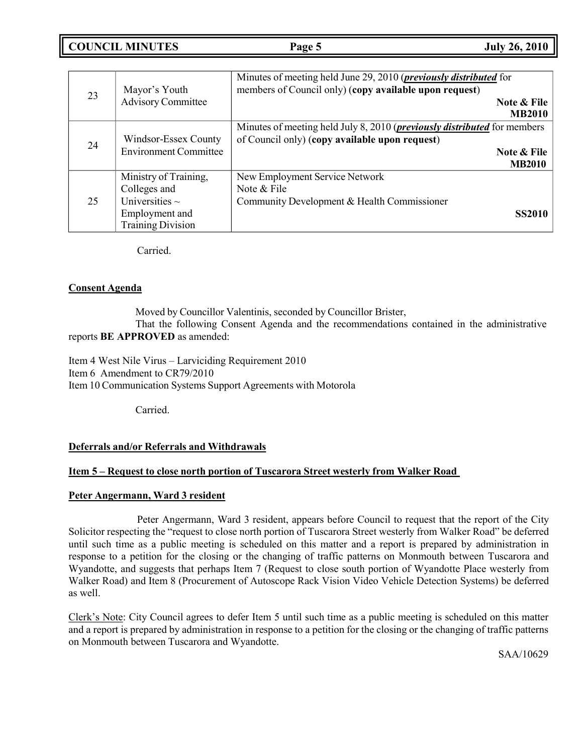**COUNCIL MINUTES Page 5 July 26, 2010**

| 23 | Mayor's Youth<br><b>Advisory Committee</b>                                                                 | Minutes of meeting held June 29, 2010 ( <i>previously distributed</i> for<br>members of Council only) (copy available upon request)<br>Note & File<br><b>MB2010</b> |
|----|------------------------------------------------------------------------------------------------------------|---------------------------------------------------------------------------------------------------------------------------------------------------------------------|
| 24 | Windsor-Essex County<br><b>Environment Committee</b>                                                       | Minutes of meeting held July 8, 2010 ( <i>previously distributed</i> for members<br>of Council only) (copy available upon request)<br>Note & File<br><b>MB2010</b>  |
| 25 | Ministry of Training,<br>Colleges and<br>Universities $\sim$<br>Employment and<br><b>Training Division</b> | New Employment Service Network<br>Note & File<br>Community Development & Health Commissioner<br><b>SS2010</b>                                                       |

Carried.

# **Consent Agenda**

Moved by Councillor Valentinis, seconded by Councillor Brister, That the following Consent Agenda and the recommendations contained in the administrative reports **BE APPROVED** as amended:

Item 4 West Nile Virus – Larviciding Requirement 2010 Item 6 Amendment to CR79/2010 Item 10 Communication Systems Support Agreements with Motorola

Carried.

# **Deferrals and/or Referrals and Withdrawals**

# **Item 5 – Request to close north portion of Tuscarora Street westerly from Walker Road**

# **Peter Angermann, Ward 3 resident**

Peter Angermann, Ward 3 resident, appears before Council to request that the report of the City Solicitor respecting the "request to close north portion of Tuscarora Street westerly from Walker Road" be deferred until such time as a public meeting is scheduled on this matter and a report is prepared by administration in response to a petition for the closing or the changing of traffic patterns on Monmouth between Tuscarora and Wyandotte, and suggests that perhaps Item 7 (Request to close south portion of Wyandotte Place westerly from Walker Road) and Item 8 (Procurement of Autoscope Rack Vision Video Vehicle Detection Systems) be deferred as well.

Clerk's Note: City Council agrees to defer Item 5 until such time as a public meeting is scheduled on this matter and a report is prepared by administration in response to a petition for the closing or the changing of traffic patterns on Monmouth between Tuscarora and Wyandotte.

SAA/10629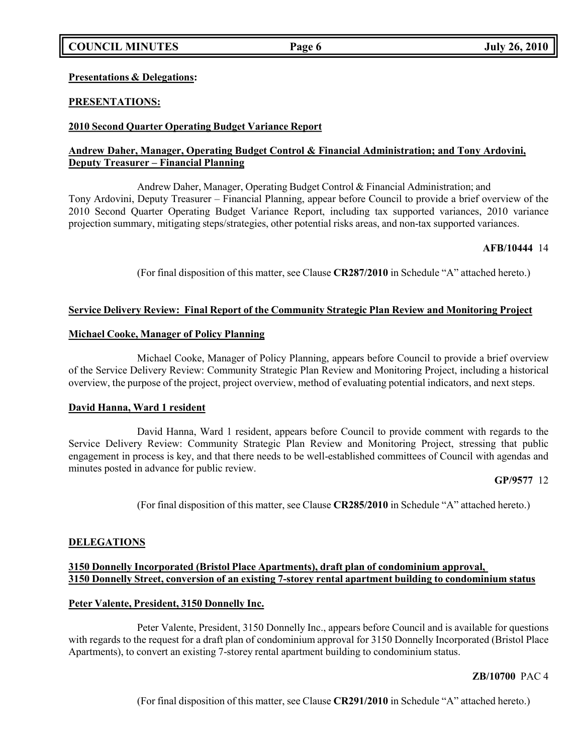**Presentations & Delegations:**

# **PRESENTATIONS:**

# **2010 Second Quarter Operating Budget Variance Report**

# **Andrew Daher, Manager, Operating Budget Control & Financial Administration; and Tony Ardovini, Deputy Treasurer – Financial Planning**

Andrew Daher, Manager, Operating Budget Control & Financial Administration; and Tony Ardovini, Deputy Treasurer – Financial Planning, appear before Council to provide a brief overview of the 2010 Second Quarter Operating Budget Variance Report, including tax supported variances, 2010 variance projection summary, mitigating steps/strategies, other potential risks areas, and non-tax supported variances.

# **AFB/10444** 14

(For final disposition of this matter, see Clause **CR287/2010** in Schedule "A" attached hereto.)

# **Service Delivery Review: Final Report of the Community Strategic Plan Review and Monitoring Project**

# **Michael Cooke, Manager of Policy Planning**

Michael Cooke, Manager of Policy Planning, appears before Council to provide a brief overview of the Service Delivery Review: Community Strategic Plan Review and Monitoring Project, including a historical overview, the purpose of the project, project overview, method of evaluating potential indicators, and next steps.

# **David Hanna, Ward 1 resident**

David Hanna, Ward 1 resident, appears before Council to provide comment with regards to the Service Delivery Review: Community Strategic Plan Review and Monitoring Project, stressing that public engagement in process is key, and that there needs to be well-established committees of Council with agendas and minutes posted in advance for public review.

# **GP/9577** 12

(For final disposition of this matter, see Clause **CR285/2010** in Schedule "A" attached hereto.)

# **DELEGATIONS**

# **3150 Donnelly Incorporated (Bristol Place Apartments), draft plan of condominium approval, 3150 Donnelly Street, conversion of an existing 7-storey rental apartment building to condominium status**

# **Peter Valente, President, 3150 Donnelly Inc.**

Peter Valente, President, 3150 Donnelly Inc., appears before Council and is available for questions with regards to the request for a draft plan of condominium approval for 3150 Donnelly Incorporated (Bristol Place Apartments), to convert an existing 7-storey rental apartment building to condominium status.

# **ZB/10700** PAC 4

(For final disposition of this matter, see Clause **CR291/2010** in Schedule "A" attached hereto.)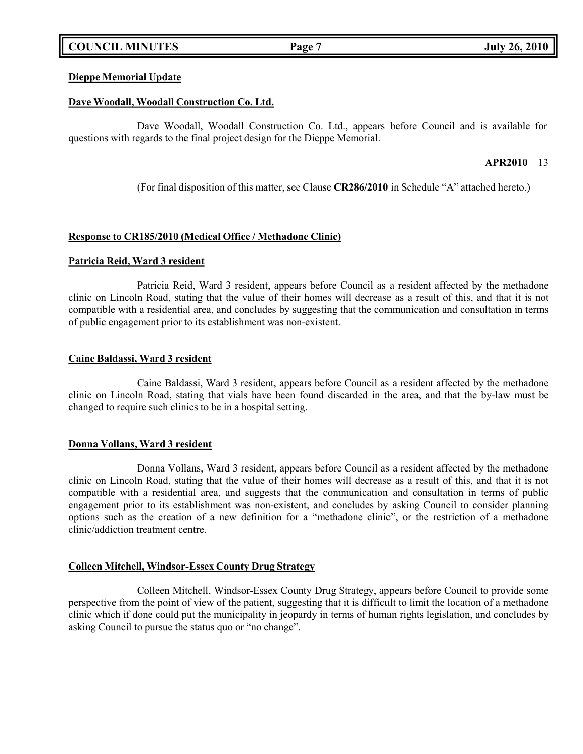# **COUNCIL MINUTES Page 7 July 26, 2010**

## **Dieppe Memorial Update**

## **Dave Woodall, Woodall Construction Co. Ltd.**

Dave Woodall, Woodall Construction Co. Ltd., appears before Council and is available for questions with regards to the final project design for the Dieppe Memorial.

## **APR2010** 13

(For final disposition of this matter, see Clause **CR286/2010** in Schedule "A" attached hereto.)

## **Response to CR185/2010 (Medical Office / Methadone Clinic)**

## **Patricia Reid, Ward 3 resident**

Patricia Reid, Ward 3 resident, appears before Council as a resident affected by the methadone clinic on Lincoln Road, stating that the value of their homes will decrease as a result of this, and that it is not compatible with a residential area, and concludes by suggesting that the communication and consultation in terms of public engagement prior to its establishment was non-existent.

## **Caine Baldassi, Ward 3 resident**

Caine Baldassi, Ward 3 resident, appears before Council as a resident affected by the methadone clinic on Lincoln Road, stating that vials have been found discarded in the area, and that the by-law must be changed to require such clinics to be in a hospital setting.

## **Donna Vollans, Ward 3 resident**

Donna Vollans, Ward 3 resident, appears before Council as a resident affected by the methadone clinic on Lincoln Road, stating that the value of their homes will decrease as a result of this, and that it is not compatible with a residential area, and suggests that the communication and consultation in terms of public engagement prior to its establishment was non-existent, and concludes by asking Council to consider planning options such as the creation of a new definition for a "methadone clinic", or the restriction of a methadone clinic/addiction treatment centre.

# **Colleen Mitchell, Windsor-Essex County Drug Strategy**

Colleen Mitchell, Windsor-Essex County Drug Strategy, appears before Council to provide some perspective from the point of view of the patient, suggesting that it is difficult to limit the location of a methadone clinic which if done could put the municipality in jeopardy in terms of human rights legislation, and concludes by asking Council to pursue the status quo or "no change".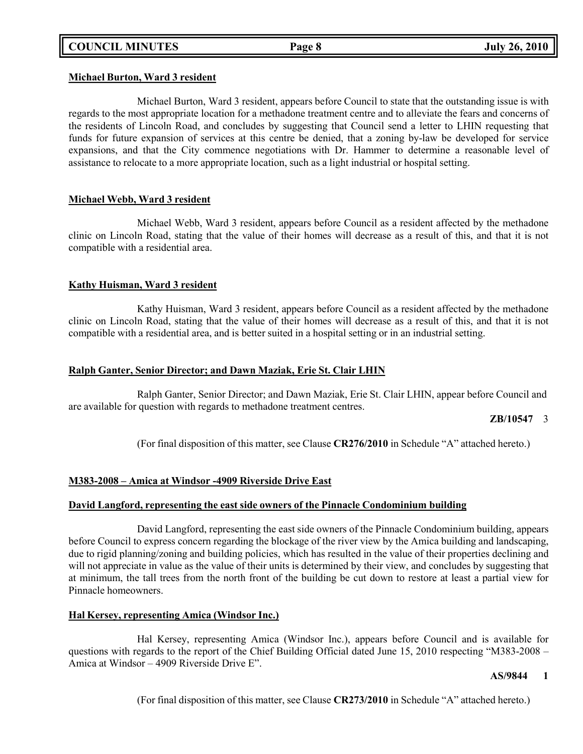## **Michael Burton, Ward 3 resident**

Michael Burton, Ward 3 resident, appears before Council to state that the outstanding issue is with regards to the most appropriate location for a methadone treatment centre and to alleviate the fears and concerns of the residents of Lincoln Road, and concludes by suggesting that Council send a letter to LHIN requesting that funds for future expansion of services at this centre be denied, that a zoning by-law be developed for service expansions, and that the City commence negotiations with Dr. Hammer to determine a reasonable level of assistance to relocate to a more appropriate location, such as a light industrial or hospital setting.

# **Michael Webb, Ward 3 resident**

Michael Webb, Ward 3 resident, appears before Council as a resident affected by the methadone clinic on Lincoln Road, stating that the value of their homes will decrease as a result of this, and that it is not compatible with a residential area.

## **Kathy Huisman, Ward 3 resident**

Kathy Huisman, Ward 3 resident, appears before Council as a resident affected by the methadone clinic on Lincoln Road, stating that the value of their homes will decrease as a result of this, and that it is not compatible with a residential area, and is better suited in a hospital setting or in an industrial setting.

## **Ralph Ganter, Senior Director; and Dawn Maziak, Erie St. Clair LHIN**

Ralph Ganter, Senior Director; and Dawn Maziak, Erie St. Clair LHIN, appear before Council and are available for question with regards to methadone treatment centres.

**ZB/10547** 3

(For final disposition of this matter, see Clause **CR276/2010** in Schedule "A" attached hereto.)

## **M383-2008 – Amica at Windsor -4909 Riverside Drive East**

# **David Langford, representing the east side owners of the Pinnacle Condominium building**

David Langford, representing the east side owners of the Pinnacle Condominium building, appears before Council to express concern regarding the blockage of the river view by the Amica building and landscaping, due to rigid planning/zoning and building policies, which has resulted in the value of their properties declining and will not appreciate in value as the value of their units is determined by their view, and concludes by suggesting that at minimum, the tall trees from the north front of the building be cut down to restore at least a partial view for Pinnacle homeowners.

# **Hal Kersey, representing Amica (Windsor Inc.)**

Hal Kersey, representing Amica (Windsor Inc.), appears before Council and is available for questions with regards to the report of the Chief Building Official dated June 15, 2010 respecting "M383-2008 – Amica at Windsor – 4909 Riverside Drive E".

# **AS/9844 1**

(For final disposition of this matter, see Clause **CR273/2010** in Schedule "A" attached hereto.)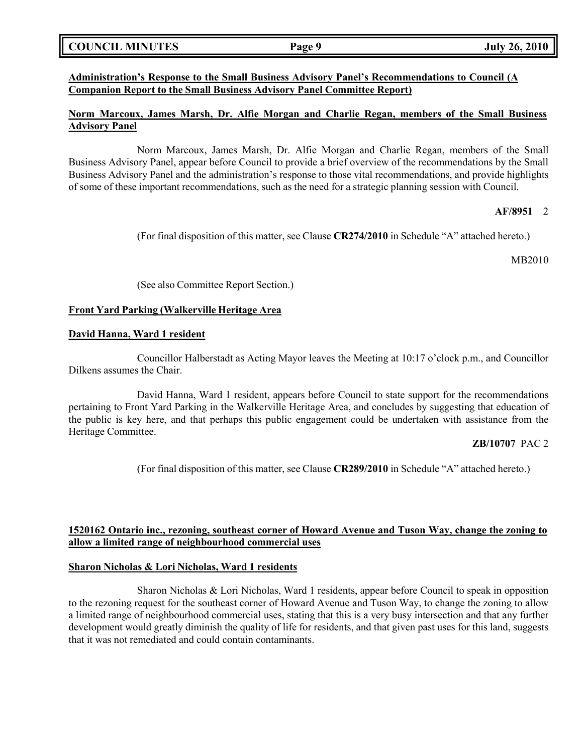# **COUNCIL MINUTES Page 9 July 26, 2010**

## **Administration's Response to the Small Business Advisory Panel's Recommendations to Council (A Companion Report to the Small Business Advisory Panel Committee Report)**

# **Norm Marcoux, James Marsh, Dr. Alfie Morgan and Charlie Regan, members of the Small Business Advisory Panel**

Norm Marcoux, James Marsh, Dr. Alfie Morgan and Charlie Regan, members of the Small Business Advisory Panel, appear before Council to provide a brief overview of the recommendations by the Small Business Advisory Panel and the administration's response to those vital recommendations, and provide highlights of some of these important recommendations, such as the need for a strategic planning session with Council.

## **AF/8951** 2

(For final disposition of this matter, see Clause **CR274/2010** in Schedule "A" attached hereto.)

## MB2010

(See also Committee Report Section.)

## **Front Yard Parking (Walkerville Heritage Area**

## **David Hanna, Ward 1 resident**

Councillor Halberstadt as Acting Mayor leaves the Meeting at 10:17 o'clock p.m., and Councillor Dilkens assumes the Chair.

David Hanna, Ward 1 resident, appears before Council to state support for the recommendations pertaining to Front Yard Parking in the Walkerville Heritage Area, and concludes by suggesting that education of the public is key here, and that perhaps this public engagement could be undertaken with assistance from the Heritage Committee.

## **ZB/10707** PAC 2

(For final disposition of this matter, see Clause **CR289/2010** in Schedule "A" attached hereto.)

# **1520162 Ontario inc., rezoning, southeast corner of Howard Avenue and Tuson Way, change the zoning to allow a limited range of neighbourhood commercial uses**

## **Sharon Nicholas & Lori Nicholas, Ward 1 residents**

Sharon Nicholas & Lori Nicholas, Ward 1 residents, appear before Council to speak in opposition to the rezoning request for the southeast corner of Howard Avenue and Tuson Way, to change the zoning to allow a limited range of neighbourhood commercial uses, stating that this is a very busy intersection and that any further development would greatly diminish the quality of life for residents, and that given past uses for this land, suggests that it was not remediated and could contain contaminants.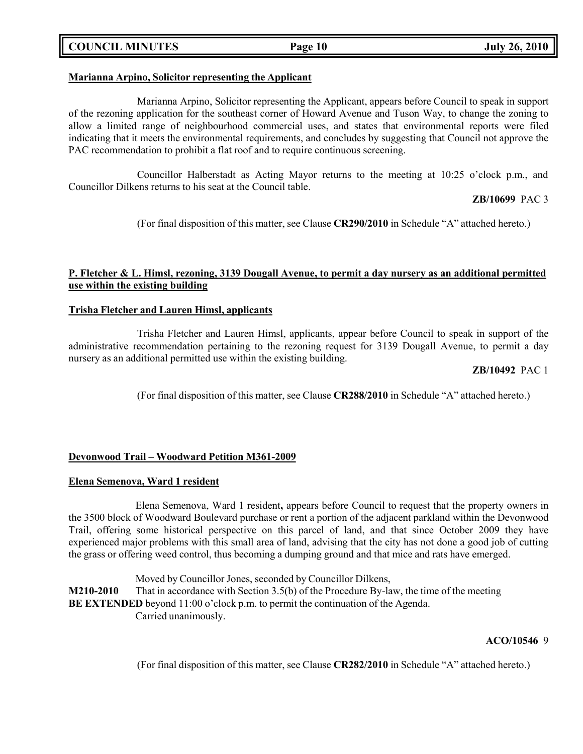# **COUNCIL MINUTES Page 10 July 26, 2010**

# **Marianna Arpino, Solicitor representing the Applicant**

Marianna Arpino, Solicitor representing the Applicant, appears before Council to speak in support of the rezoning application for the southeast corner of Howard Avenue and Tuson Way, to change the zoning to allow a limited range of neighbourhood commercial uses, and states that environmental reports were filed indicating that it meets the environmental requirements, and concludes by suggesting that Council not approve the PAC recommendation to prohibit a flat roof and to require continuous screening.

Councillor Halberstadt as Acting Mayor returns to the meeting at 10:25 o'clock p.m., and Councillor Dilkens returns to his seat at the Council table.

**ZB/10699** PAC 3

(For final disposition of this matter, see Clause **CR290/2010** in Schedule "A" attached hereto.)

# **P. Fletcher & L. Himsl, rezoning, 3139 Dougall Avenue, to permit a day nursery as an additional permitted use within the existing building**

## **Trisha Fletcher and Lauren Himsl, applicants**

Trisha Fletcher and Lauren Himsl, applicants, appear before Council to speak in support of the administrative recommendation pertaining to the rezoning request for 3139 Dougall Avenue, to permit a day nursery as an additional permitted use within the existing building.

## **ZB/10492** PAC 1

(For final disposition of this matter, see Clause **CR288/2010** in Schedule "A" attached hereto.)

## **Devonwood Trail – Woodward Petition M361-2009**

# **Elena Semenova, Ward 1 resident**

Elena Semenova, Ward 1 resident**,** appears before Council to request that the property owners in the 3500 block of Woodward Boulevard purchase or rent a portion of the adjacent parkland within the Devonwood Trail, offering some historical perspective on this parcel of land, and that since October 2009 they have experienced major problems with this small area of land, advising that the city has not done a good job of cutting the grass or offering weed control, thus becoming a dumping ground and that mice and rats have emerged.

Moved by Councillor Jones, seconded by Councillor Dilkens, **M210-2010** That in accordance with Section 3.5(b) of the Procedure By-law, the time of the meeting **BE EXTENDED** beyond 11:00 o'clock p.m. to permit the continuation of the Agenda. Carried unanimously.

## **ACO/10546** 9

(For final disposition of this matter, see Clause **CR282/2010** in Schedule "A" attached hereto.)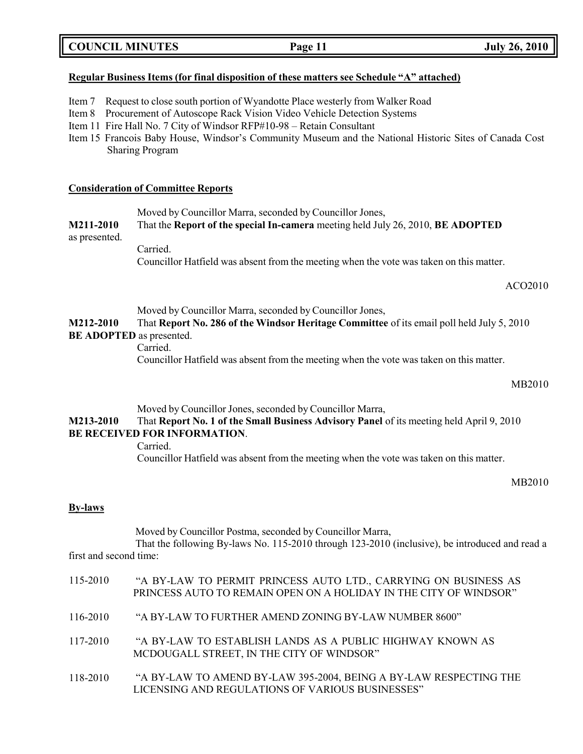| <b>COUNCIL MINUTES</b> | Page 11 | <b>July 26, 2010</b> |
|------------------------|---------|----------------------|
|                        |         |                      |

### **Regular Business Items (for final disposition of these matters see Schedule "A" attached)**

- Item 7 Request to close south portion of Wyandotte Place westerly from Walker Road
- Item 8 Procurement of Autoscope Rack Vision Video Vehicle Detection Systems
- Item 11 Fire Hall No. 7 City of Windsor RFP#10-98 Retain Consultant
- Item 15 Francois Baby House, Windsor's Community Museum and the National Historic Sites of Canada Cost Sharing Program

## **Consideration of Committee Reports**

Moved by Councillor Marra, seconded by Councillor Jones,

**M211-2010** That the **Report of the special In-camera** meeting held July 26, 2010, **BE ADOPTED**

# as presented.

Carried. Councillor Hatfield was absent from the meeting when the vote was taken on this matter.

ACO2010

Moved by Councillor Marra, seconded by Councillor Jones,

**M212-2010** That **Report No. 286 of the Windsor Heritage Committee** of its email poll held July 5, 2010 **BE ADOPTED** as presented.

Carried.

Councillor Hatfield was absent from the meeting when the vote was taken on this matter.

### MB2010

Moved by Councillor Jones, seconded by Councillor Marra,

**M213-2010** That **Report No. 1 of the Small Business Advisory Panel** of its meeting held April 9, 2010 **BE RECEIVED FOR INFORMATION**.

Carried.

Councillor Hatfield was absent from the meeting when the vote was taken on this matter.

### MB2010

### **By-laws**

Moved by Councillor Postma, seconded by Councillor Marra,

That the following By-laws No. 115-2010 through 123-2010 (inclusive), be introduced and read a first and second time:

| 115-2010 | "A BY-LAW TO PERMIT PRINCESS AUTO LTD., CARRYING ON BUSINESS AS<br>PRINCESS AUTO TO REMAIN OPEN ON A HOLIDAY IN THE CITY OF WINDSOR" |  |
|----------|--------------------------------------------------------------------------------------------------------------------------------------|--|
| 116-2010 | "A BY-LAW TO FURTHER AMEND ZONING BY-LAW NUMBER 8600"                                                                                |  |
| 117-2010 | "A BY-LAW TO ESTABLISH LANDS AS A PUBLIC HIGHWAY KNOWN AS<br>MCDOUGALL STREET, IN THE CITY OF WINDSOR"                               |  |
| 118-2010 | "A BY-LAW TO AMEND BY-LAW 395-2004, BEING A BY-LAW RESPECTING THE<br>LICENSING AND REGULATIONS OF VARIOUS BUSINESSES"                |  |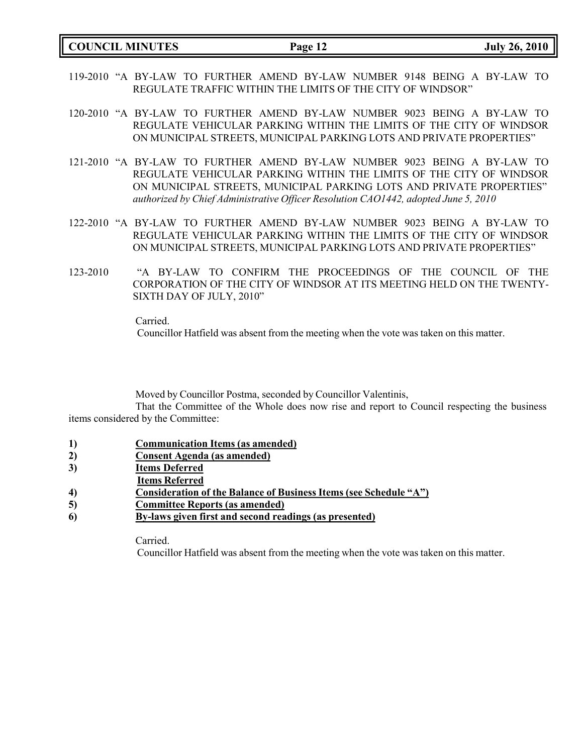- 119-2010 "A BY-LAW TO FURTHER AMEND BY-LAW NUMBER 9148 BEING A BY-LAW TO REGULATE TRAFFIC WITHIN THE LIMITS OF THE CITY OF WINDSOR"
- 120-2010 "A BY-LAW TO FURTHER AMEND BY-LAW NUMBER 9023 BEING A BY-LAW TO REGULATE VEHICULAR PARKING WITHIN THE LIMITS OF THE CITY OF WINDSOR ON MUNICIPAL STREETS, MUNICIPAL PARKING LOTS AND PRIVATE PROPERTIES"
- 121-2010 "A BY-LAW TO FURTHER AMEND BY-LAW NUMBER 9023 BEING A BY-LAW TO REGULATE VEHICULAR PARKING WITHIN THE LIMITS OF THE CITY OF WINDSOR ON MUNICIPAL STREETS, MUNICIPAL PARKING LOTS AND PRIVATE PROPERTIES" *authorized by Chief Administrative Officer Resolution CAO1442, adopted June 5, 2010*
- 122-2010 "A BY-LAW TO FURTHER AMEND BY-LAW NUMBER 9023 BEING A BY-LAW TO REGULATE VEHICULAR PARKING WITHIN THE LIMITS OF THE CITY OF WINDSOR ON MUNICIPAL STREETS, MUNICIPAL PARKING LOTS AND PRIVATE PROPERTIES"
- 123-2010 "A BY-LAW TO CONFIRM THE PROCEEDINGS OF THE COUNCIL OF THE CORPORATION OF THE CITY OF WINDSOR AT ITS MEETING HELD ON THE TWENTY-SIXTH DAY OF JULY, 2010"

Carried.

Councillor Hatfield was absent from the meeting when the vote was taken on this matter.

Moved by Councillor Postma, seconded by Councillor Valentinis,

That the Committee of the Whole does now rise and report to Council respecting the business items considered by the Committee:

- **1) Communication Items (as amended)**
- **2) Consent Agenda (as amended)**
- **3) Items Deferred**
- **Items Referred**
- **4) Consideration of the Balance of Business Items (see Schedule "A")**
- **5) Committee Reports (as amended)**
- **6) By-laws given first and second readings (as presented)**

Carried.

Councillor Hatfield was absent from the meeting when the vote was taken on this matter.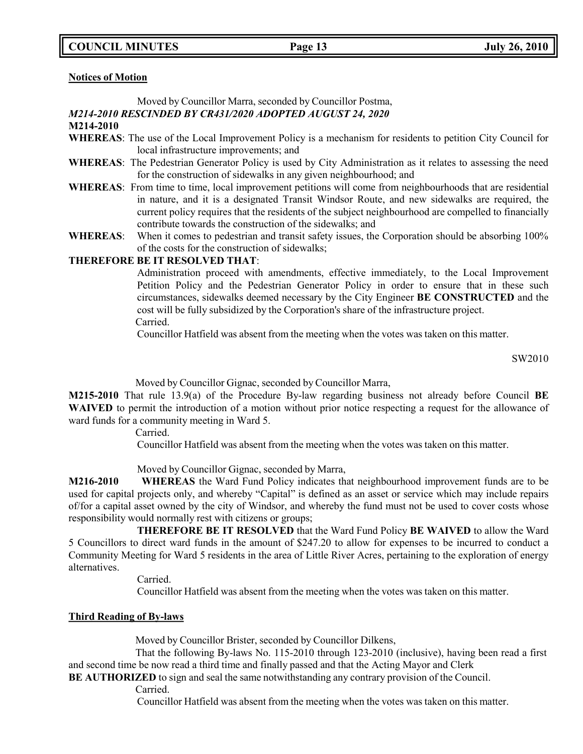**COUNCIL MINUTES Page 13 July 26, 2010**

**Notices of Motion**

Moved by Councillor Marra, seconded by Councillor Postma,

# *M214-2010 RESCINDED BY CR431/2020 ADOPTED AUGUST 24, 2020*

- **M214-2010**
- **WHEREAS**: The use of the Local Improvement Policy is a mechanism for residents to petition City Council for local infrastructure improvements; and
- **WHEREAS**: The Pedestrian Generator Policy is used by City Administration as it relates to assessing the need for the construction of sidewalks in any given neighbourhood; and
- **WHEREAS**: From time to time, local improvement petitions will come from neighbourhoods that are residential in nature, and it is a designated Transit Windsor Route, and new sidewalks are required, the current policy requires that the residents of the subject neighbourhood are compelled to financially contribute towards the construction of the sidewalks; and
- **WHEREAS**: When it comes to pedestrian and transit safety issues, the Corporation should be absorbing 100% of the costs for the construction of sidewalks;

## **THEREFORE BE IT RESOLVED THAT**:

Administration proceed with amendments, effective immediately, to the Local Improvement Petition Policy and the Pedestrian Generator Policy in order to ensure that in these such circumstances, sidewalks deemed necessary by the City Engineer **BE CONSTRUCTED** and the cost will be fully subsidized by the Corporation's share of the infrastructure project. Carried.

Councillor Hatfield was absent from the meeting when the votes was taken on this matter.

SW2010

Moved by Councillor Gignac, seconded by Councillor Marra,

**M215-2010** That rule 13.9(a) of the Procedure By-law regarding business not already before Council **BE WAIVED** to permit the introduction of a motion without prior notice respecting a request for the allowance of ward funds for a community meeting in Ward 5.

Carried.

Councillor Hatfield was absent from the meeting when the votes was taken on this matter.

Moved by Councillor Gignac, seconded by Marra,

**M216-2010 WHEREAS** the Ward Fund Policy indicates that neighbourhood improvement funds are to be used for capital projects only, and whereby "Capital" is defined as an asset or service which may include repairs of/for a capital asset owned by the city of Windsor, and whereby the fund must not be used to cover costs whose responsibility would normally rest with citizens or groups;

**THEREFORE BE IT RESOLVED** that the Ward Fund Policy **BE WAIVED** to allow the Ward 5 Councillors to direct ward funds in the amount of \$247.20 to allow for expenses to be incurred to conduct a Community Meeting for Ward 5 residents in the area of Little River Acres, pertaining to the exploration of energy alternatives.

Carried.

Councillor Hatfield was absent from the meeting when the votes was taken on this matter.

# **Third Reading of By-laws**

Moved by Councillor Brister, seconded by Councillor Dilkens,

That the following By-laws No. 115-2010 through 123-2010 (inclusive), having been read a first and second time be now read a third time and finally passed and that the Acting Mayor and Clerk

**BE AUTHORIZED** to sign and seal the same notwithstanding any contrary provision of the Council.

Carried.

Councillor Hatfield was absent from the meeting when the votes was taken on this matter.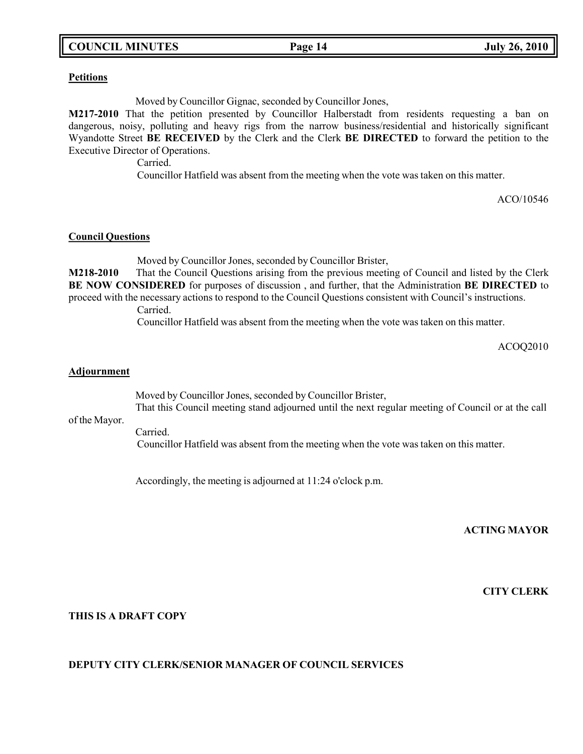# **COUNCIL MINUTES Page 14 July 26, 2010**

# **Petitions**

Moved by Councillor Gignac, seconded by Councillor Jones,

**M217-2010** That the petition presented by Councillor Halberstadt from residents requesting a ban on dangerous, noisy, polluting and heavy rigs from the narrow business/residential and historically significant Wyandotte Street **BE RECEIVED** by the Clerk and the Clerk **BE DIRECTED** to forward the petition to the Executive Director of Operations.

Carried.

Councillor Hatfield was absent from the meeting when the vote was taken on this matter.

ACO/10546

## **Council Questions**

Moved by Councillor Jones, seconded by Councillor Brister,

**M218-2010** That the Council Questions arising from the previous meeting of Council and listed by the Clerk **BE NOW CONSIDERED** for purposes of discussion , and further, that the Administration **BE DIRECTED** to proceed with the necessary actions to respond to the Council Questions consistent with Council's instructions. Carried.

Councillor Hatfield was absent from the meeting when the vote was taken on this matter.

ACOQ2010

## **Adjournment**

Moved by Councillor Jones, seconded by Councillor Brister, That this Council meeting stand adjourned until the next regular meeting of Council or at the call

of the Mayor.

Carried. Councillor Hatfield was absent from the meeting when the vote was taken on this matter.

Accordingly, the meeting is adjourned at 11:24 o'clock p.m.

## **ACTING MAYOR**

**CITY CLERK**

## **THIS IS A DRAFT COPY**

# **DEPUTY CITY CLERK/SENIOR MANAGER OF COUNCIL SERVICES**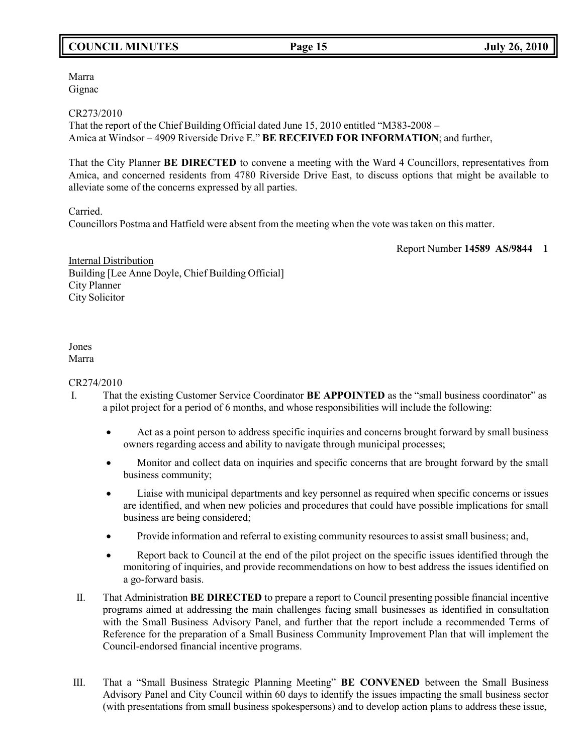# **COUNCIL MINUTES Page 15 July 26, 2010**

Marra Gignac

CR273/2010

That the report of the Chief Building Official dated June 15, 2010 entitled "M383-2008 – Amica at Windsor – 4909 Riverside Drive E." **BE RECEIVED FOR INFORMATION**; and further,

That the City Planner **BE DIRECTED** to convene a meeting with the Ward 4 Councillors, representatives from Amica, and concerned residents from 4780 Riverside Drive East, to discuss options that might be available to alleviate some of the concerns expressed by all parties.

Carried.

Councillors Postma and Hatfield were absent from the meeting when the vote was taken on this matter.

Report Number **14589 AS/9844 1**

Internal Distribution Building [Lee Anne Doyle, Chief Building Official] City Planner City Solicitor

### Jones Marra

CR274/2010

- I. That the existing Customer Service Coordinator **BE APPOINTED** as the "small business coordinator" as a pilot project for a period of 6 months, and whose responsibilities will include the following:
	- Act as a point person to address specific inquiries and concerns brought forward by small business owners regarding access and ability to navigate through municipal processes;
	- Monitor and collect data on inquiries and specific concerns that are brought forward by the small business community;
	- Liaise with municipal departments and key personnel as required when specific concerns or issues are identified, and when new policies and procedures that could have possible implications for small business are being considered;
	- Provide information and referral to existing community resources to assist small business; and,
	- Report back to Council at the end of the pilot project on the specific issues identified through the monitoring of inquiries, and provide recommendations on how to best address the issues identified on a go-forward basis.
	- II. That Administration **BE DIRECTED** to prepare a report to Council presenting possible financial incentive programs aimed at addressing the main challenges facing small businesses as identified in consultation with the Small Business Advisory Panel, and further that the report include a recommended Terms of Reference for the preparation of a Small Business Community Improvement Plan that will implement the Council-endorsed financial incentive programs.
- III. That a "Small Business Strategic Planning Meeting" **BE CONVENED** between the Small Business Advisory Panel and City Council within 60 days to identify the issues impacting the small business sector (with presentations from small business spokespersons) and to develop action plans to address these issue,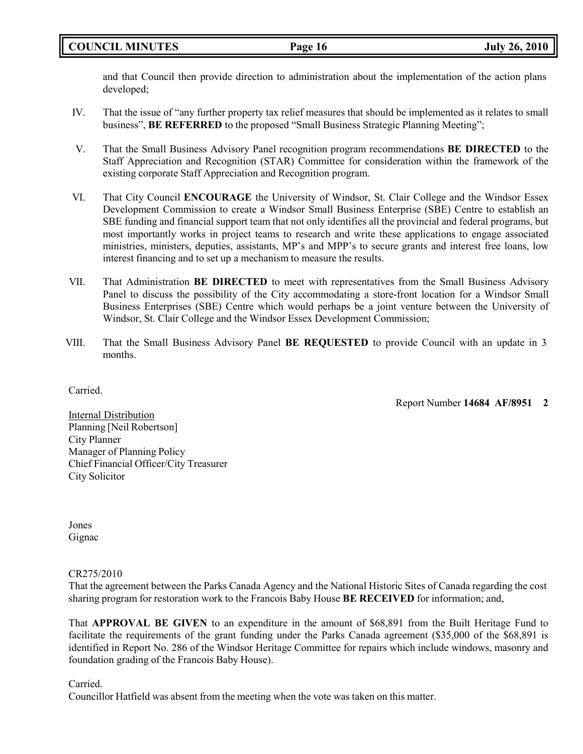and that Council then provide direction to administration about the implementation of the action plans developed;

- IV. That the issue of "any further property tax relief measures that should be implemented as it relates to small business", **BE REFERRED** to the proposed "Small Business Strategic Planning Meeting";
- V. That the Small Business Advisory Panel recognition program recommendations **BE DIRECTED** to the Staff Appreciation and Recognition (STAR) Committee for consideration within the framework of the existing corporate Staff Appreciation and Recognition program.
- VI. That City Council **ENCOURAGE** the University of Windsor, St. Clair College and the Windsor Essex Development Commission to create a Windsor Small Business Enterprise (SBE) Centre to establish an SBE funding and financial support team that not only identifies all the provincial and federal programs, but most importantly works in project teams to research and write these applications to engage associated ministries, ministers, deputies, assistants, MP's and MPP's to secure grants and interest free loans, low interest financing and to set up a mechanism to measure the results.
- VII. That Administration **BE DIRECTED** to meet with representatives from the Small Business Advisory Panel to discuss the possibility of the City accommodating a store-front location for a Windsor Small Business Enterprises (SBE) Centre which would perhaps be a joint venture between the University of Windsor, St. Clair College and the Windsor Essex Development Commission;
- VIII. That the Small Business Advisory Panel **BE REQUESTED** to provide Council with an update in 3 months.

Carried.

Report Number **14684 AF/8951 2**

Internal Distribution Planning [Neil Robertson] City Planner Manager of Planning Policy Chief Financial Officer/City Treasurer City Solicitor

Jones Gignac

# CR275/2010

That the agreement between the Parks Canada Agency and the National Historic Sites of Canada regarding the cost sharing program for restoration work to the Francois Baby House **BE RECEIVED** for information; and,

That **APPROVAL BE GIVEN** to an expenditure in the amount of \$68,891 from the Built Heritage Fund to facilitate the requirements of the grant funding under the Parks Canada agreement (\$35,000 of the \$68,891 is identified in Report No. 286 of the Windsor Heritage Committee for repairs which include windows, masonry and foundation grading of the Francois Baby House).

Carried.

Councillor Hatfield was absent from the meeting when the vote was taken on this matter.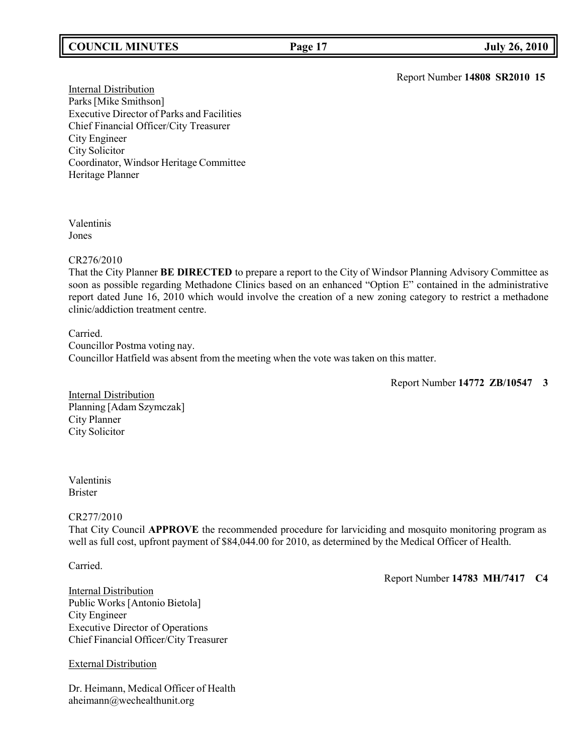# **COUNCIL MINUTES Page 17 July 26, 2010**

Report Number **14808 SR2010 15**

Internal Distribution Parks[Mike Smithson] Executive Director of Parks and Facilities Chief Financial Officer/City Treasurer City Engineer City Solicitor Coordinator, Windsor Heritage Committee Heritage Planner

Valentinis Jones

## CR276/2010

That the City Planner **BE DIRECTED** to prepare a report to the City of Windsor Planning Advisory Committee as soon as possible regarding Methadone Clinics based on an enhanced "Option E" contained in the administrative report dated June 16, 2010 which would involve the creation of a new zoning category to restrict a methadone clinic/addiction treatment centre.

Carried. Councillor Postma voting nay. Councillor Hatfield was absent from the meeting when the vote was taken on this matter.

Report Number **14772 ZB/10547 3**

Internal Distribution Planning [Adam Szymczak] City Planner City Solicitor

## Valentinis Brister

# CR277/2010

That City Council **APPROVE** the recommended procedure for larviciding and mosquito monitoring program as well as full cost, upfront payment of \$84,044.00 for 2010, as determined by the Medical Officer of Health.

Carried.

Report Number **14783 MH/7417 C4**

Internal Distribution Public Works [Antonio Bietola] City Engineer Executive Director of Operations Chief Financial Officer/City Treasurer

# External Distribution

Dr. Heimann, Medical Officer of Health [aheimann@wechealthunit.org](mailto:aheimann@wechealthunit.org)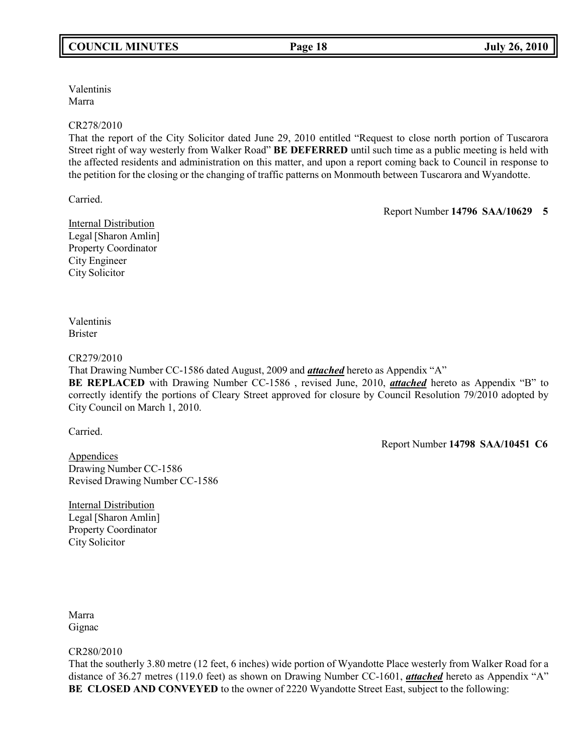Valentinis Marra

## CR278/2010

That the report of the City Solicitor dated June 29, 2010 entitled "Request to close north portion of Tuscarora Street right of way westerly from Walker Road" **BE DEFERRED** until such time as a public meeting is held with the affected residents and administration on this matter, and upon a report coming back to Council in response to the petition for the closing or the changing of traffic patterns on Monmouth between Tuscarora and Wyandotte.

Carried.

Report Number **14796 SAA/10629 5**

Internal Distribution Legal [Sharon Amlin] Property Coordinator City Engineer City Solicitor

Valentinis Brister

## CR279/2010

That Drawing Number CC-1586 dated August, 2009 and *attached* hereto as Appendix "A"

**BE REPLACED** with Drawing Number CC-1586 , revised June, 2010, *attached* hereto as Appendix "B" to correctly identify the portions of Cleary Street approved for closure by Council Resolution 79/2010 adopted by City Council on March 1, 2010.

Carried.

Report Number **14798 SAA/10451 C6**

Appendices Drawing Number CC-1586 Revised Drawing Number CC-1586

Internal Distribution Legal [Sharon Amlin] Property Coordinator City Solicitor

Marra Gignac

# CR280/2010

That the southerly 3.80 metre (12 feet, 6 inches) wide portion of Wyandotte Place westerly from Walker Road for a distance of 36.27 metres (119.0 feet) as shown on Drawing Number CC-1601, *attached* hereto as Appendix "A" **BE CLOSED AND CONVEYED** to the owner of 2220 Wyandotte Street East, subject to the following: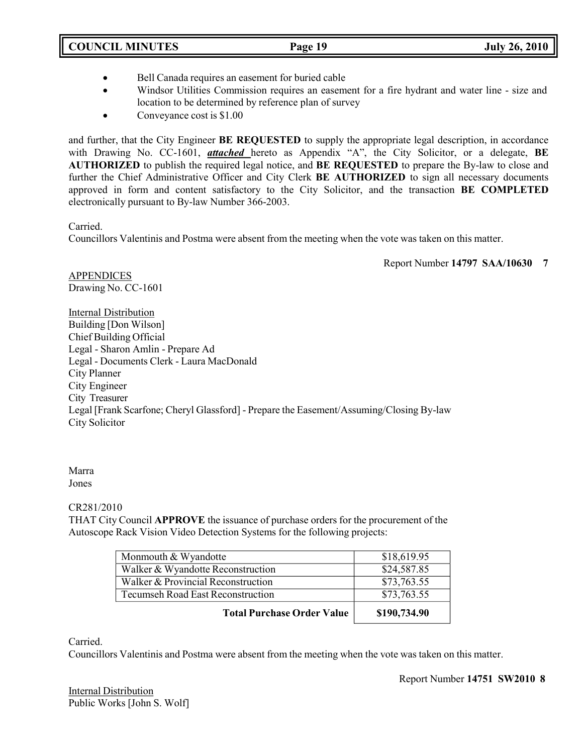- Bell Canada requires an easement for buried cable
- Windsor Utilities Commission requires an easement for a fire hydrant and water line size and location to be determined by reference plan of survey
- Conveyance cost is \$1.00

and further, that the City Engineer **BE REQUESTED** to supply the appropriate legal description, in accordance with Drawing No. CC-1601, *attached* hereto as Appendix "A", the City Solicitor, or a delegate, **BE AUTHORIZED** to publish the required legal notice, and **BE REQUESTED** to prepare the By-law to close and further the Chief Administrative Officer and City Clerk **BE AUTHORIZED** to sign all necessary documents approved in form and content satisfactory to the City Solicitor, and the transaction **BE COMPLETED** electronically pursuant to By-law Number 366-2003.

Carried.

Councillors Valentinis and Postma were absent from the meeting when the vote was taken on this matter.

Report Number **14797 SAA/10630 7**

APPENDICES Drawing No. CC-1601

Internal Distribution Building [Don Wilson] Chief Building Official Legal - Sharon Amlin - Prepare Ad Legal - Documents Clerk - Laura MacDonald City Planner City Engineer City Treasurer Legal [Frank Scarfone; Cheryl Glassford] - Prepare the Easement/Assuming/Closing By-law City Solicitor

Marra

Jones

CR281/2010

THAT City Council **APPROVE** the issuance of purchase orders for the procurement of the Autoscope Rack Vision Video Detection Systems for the following projects:

| Monmouth & Wyandotte               | \$18,619.95  |
|------------------------------------|--------------|
| Walker & Wyandotte Reconstruction  | \$24,587.85  |
| Walker & Provincial Reconstruction | \$73,763.55  |
| Tecumseh Road East Reconstruction  | \$73,763.55  |
| <b>Total Purchase Order Value</b>  | \$190,734.90 |

Carried.

Councillors Valentinis and Postma were absent from the meeting when the vote was taken on this matter.

Internal Distribution Public Works [John S. Wolf] Report Number **14751 SW2010 8**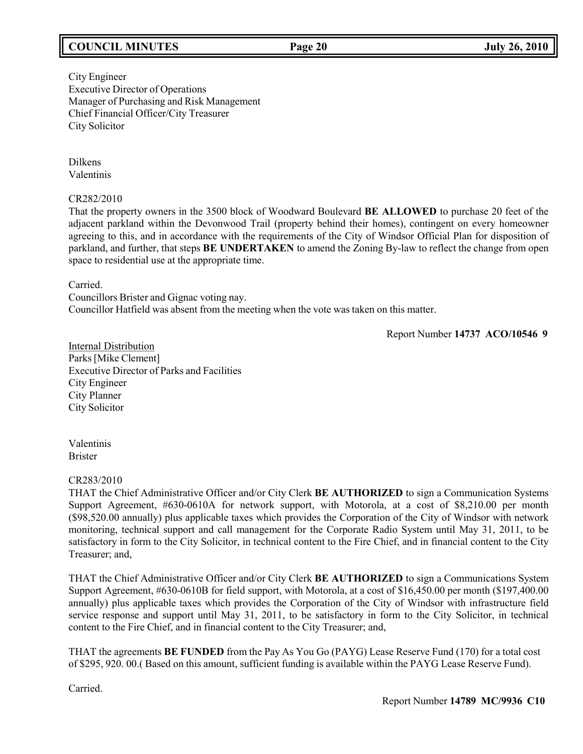# **COUNCIL MINUTES Page 20 July 26, 2010**

City Engineer Executive Director of Operations Manager of Purchasing and Risk Management Chief Financial Officer/City Treasurer City Solicitor

Dilkens Valentinis

## CR282/2010

That the property owners in the 3500 block of Woodward Boulevard **BE ALLOWED** to purchase 20 feet of the adjacent parkland within the Devonwood Trail (property behind their homes), contingent on every homeowner agreeing to this, and in accordance with the requirements of the City of Windsor Official Plan for disposition of parkland, and further, that steps **BE UNDERTAKEN** to amend the Zoning By-law to reflect the change from open space to residential use at the appropriate time.

Carried.

Councillors Brister and Gignac voting nay. Councillor Hatfield was absent from the meeting when the vote was taken on this matter.

Report Number **14737 ACO/10546 9**

Internal Distribution Parks[Mike Clement] Executive Director of Parks and Facilities City Engineer City Planner City Solicitor

Valentinis Brister

## CR283/2010

THAT the Chief Administrative Officer and/or City Clerk **BE AUTHORIZED** to sign a Communication Systems Support Agreement, #630-0610A for network support, with Motorola, at a cost of \$8,210.00 per month (\$98,520.00 annually) plus applicable taxes which provides the Corporation of the City of Windsor with network monitoring, technical support and call management for the Corporate Radio System until May 31, 2011, to be satisfactory in form to the City Solicitor, in technical content to the Fire Chief, and in financial content to the City Treasurer; and,

THAT the Chief Administrative Officer and/or City Clerk **BE AUTHORIZED** to sign a Communications System Support Agreement, #630-0610B for field support, with Motorola, at a cost of \$16,450.00 per month (\$197,400.00 annually) plus applicable taxes which provides the Corporation of the City of Windsor with infrastructure field service response and support until May 31, 2011, to be satisfactory in form to the City Solicitor, in technical content to the Fire Chief, and in financial content to the City Treasurer; and,

THAT the agreements **BE FUNDED** from the Pay As You Go (PAYG) Lease Reserve Fund (170) for a total cost of \$295, 920. 00.( Based on this amount, sufficient funding is available within the PAYG Lease Reserve Fund).

Carried.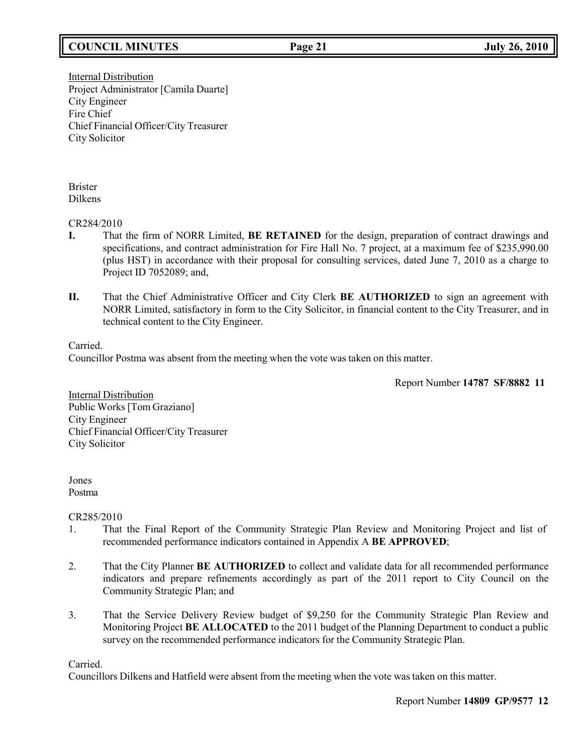# **COUNCIL MINUTES Page 21 July 26, 2010**

Internal Distribution Project Administrator [Camila Duarte] City Engineer Fire Chief Chief Financial Officer/City Treasurer City Solicitor

Brister Dilkens

CR284/2010

- **I.** That the firm of NORR Limited, **BE RETAINED** for the design, preparation of contract drawings and specifications, and contract administration for Fire Hall No. 7 project, at a maximum fee of \$235,990.00 (plus HST) in accordance with their proposal for consulting services, dated June 7, 2010 as a charge to Project ID 7052089; and,
- **II.** That the Chief Administrative Officer and City Clerk **BE AUTHORIZED** to sign an agreement with NORR Limited, satisfactory in form to the City Solicitor, in financial content to the City Treasurer, and in technical content to the City Engineer.

Carried.

Councillor Postma was absent from the meeting when the vote was taken on this matter.

Report Number **14787 SF/8882 11**

Internal Distribution Public Works [Tom Graziano] City Engineer Chief Financial Officer/City Treasurer City Solicitor

Jones Postma

CR285/2010

- 1. That the Final Report of the Community Strategic Plan Review and Monitoring Project and list of recommended performance indicators contained in Appendix A **BE APPROVED**;
- 2. That the City Planner **BE AUTHORIZED** to collect and validate data for all recommended performance indicators and prepare refinements accordingly as part of the 2011 report to City Council on the Community Strategic Plan; and
- 3. That the Service Delivery Review budget of \$9,250 for the Community Strategic Plan Review and Monitoring Project **BE ALLOCATED** to the 2011 budget of the Planning Department to conduct a public survey on the recommended performance indicators for the Community Strategic Plan.

Carried.

Councillors Dilkens and Hatfield were absent from the meeting when the vote was taken on this matter.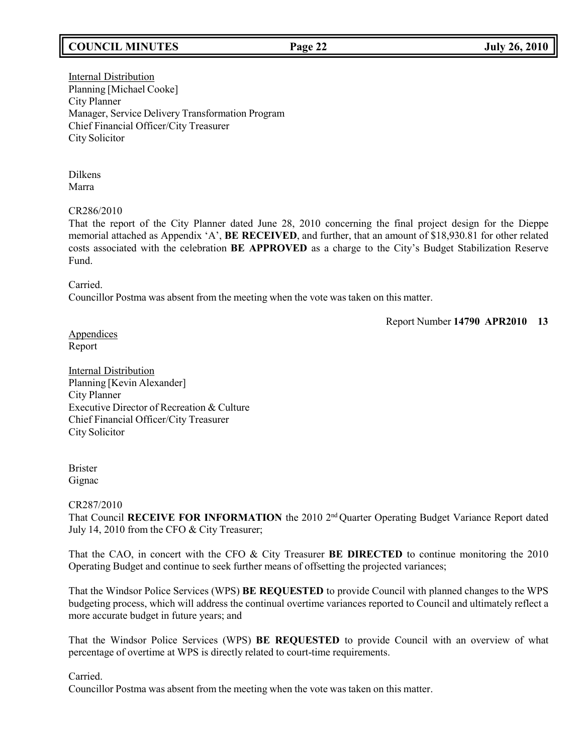# **COUNCIL MINUTES Page 22 July 26, 2010**

Internal Distribution Planning [Michael Cooke] City Planner Manager, Service Delivery Transformation Program Chief Financial Officer/City Treasurer City Solicitor

Dilkens Marra

CR286/2010

That the report of the City Planner dated June 28, 2010 concerning the final project design for the Dieppe memorial attached as Appendix 'A', **BE RECEIVED**, and further, that an amount of \$18,930.81 for other related costs associated with the celebration **BE APPROVED** as a charge to the City's Budget Stabilization Reserve Fund.

Carried.

Councillor Postma was absent from the meeting when the vote was taken on this matter.

Report Number **14790 APR2010 13**

Appendices Report

**Internal Distribution** Planning [Kevin Alexander] City Planner Executive Director of Recreation & Culture Chief Financial Officer/City Treasurer City Solicitor

Brister Gignac

## CR287/2010

That Council **RECEIVE FOR INFORMATION** the 2010 2<sup>nd</sup> Quarter Operating Budget Variance Report dated July 14, 2010 from the CFO & City Treasurer;

That the CAO, in concert with the CFO & City Treasurer **BE DIRECTED** to continue monitoring the 2010 Operating Budget and continue to seek further means of offsetting the projected variances;

That the Windsor Police Services (WPS) **BE REQUESTED** to provide Council with planned changes to the WPS budgeting process, which will address the continual overtime variances reported to Council and ultimately reflect a more accurate budget in future years; and

That the Windsor Police Services (WPS) **BE REQUESTED** to provide Council with an overview of what percentage of overtime at WPS is directly related to court-time requirements.

Carried.

Councillor Postma was absent from the meeting when the vote was taken on this matter.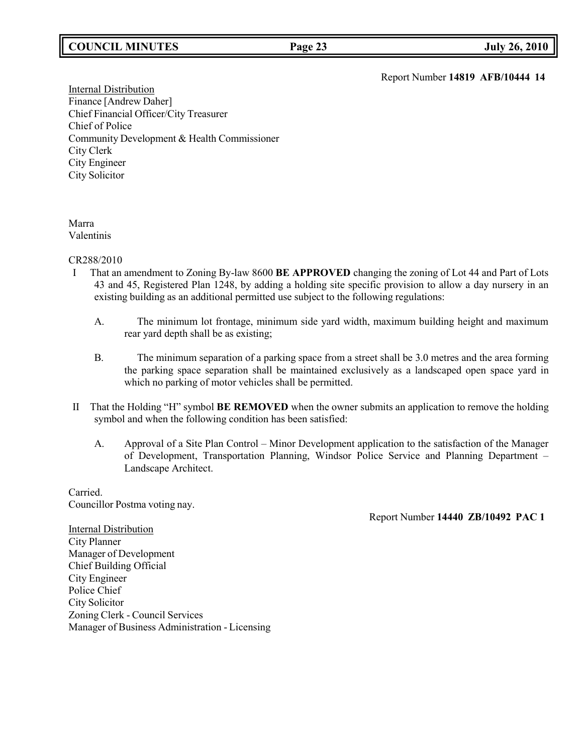# **COUNCIL MINUTES Page 23 July 26, 2010**

Report Number **14819 AFB/10444 14**

**Internal Distribution** Finance [Andrew Daher] Chief Financial Officer/City Treasurer Chief of Police Community Development & Health Commissioner City Clerk City Engineer City Solicitor

## Marra Valentinis

## CR288/2010

- I That an amendment to Zoning By-law 8600 **BE APPROVED** changing the zoning of Lot 44 and Part of Lots 43 and 45, Registered Plan 1248, by adding a holding site specific provision to allow a day nursery in an existing building as an additional permitted use subject to the following regulations:
	- A. The minimum lot frontage, minimum side yard width, maximum building height and maximum rear yard depth shall be as existing;
	- B. The minimum separation of a parking space from a street shall be 3.0 metres and the area forming the parking space separation shall be maintained exclusively as a landscaped open space yard in which no parking of motor vehicles shall be permitted.
- II That the Holding "H" symbol **BE REMOVED** when the owner submits an application to remove the holding symbol and when the following condition has been satisfied:
	- A. Approval of a Site Plan Control Minor Development application to the satisfaction of the Manager of Development, Transportation Planning, Windsor Police Service and Planning Department – Landscape Architect.

Carried. Councillor Postma voting nay.

Report Number **14440 ZB/10492 PAC 1**

**Internal Distribution** City Planner Manager of Development Chief Building Official City Engineer Police Chief City Solicitor Zoning Clerk - Council Services Manager of Business Administration - Licensing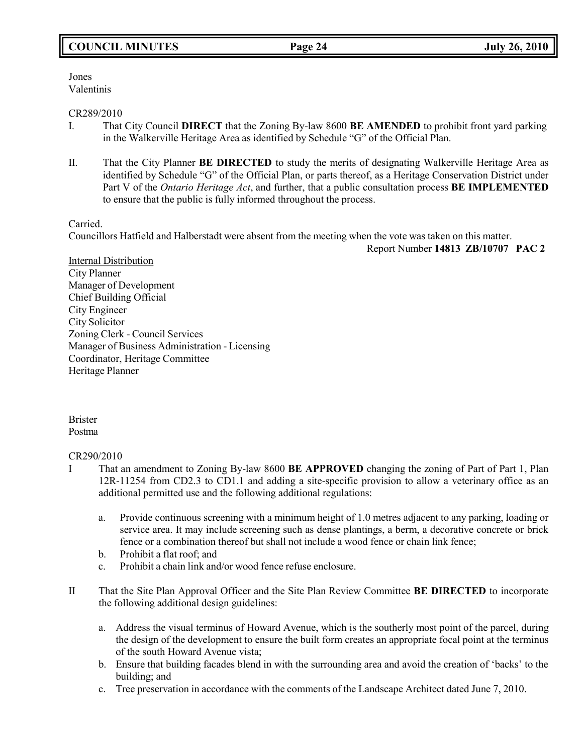Jones Valentinis

## CR289/2010

- I. That City Council **DIRECT** that the Zoning By-law 8600 **BE AMENDED** to prohibit front yard parking in the Walkerville Heritage Area as identified by Schedule "G" of the Official Plan.
- II. That the City Planner **BE DIRECTED** to study the merits of designating Walkerville Heritage Area as identified by Schedule "G" of the Official Plan, or parts thereof, as a Heritage Conservation District under Part V of the *Ontario Heritage Act*, and further, that a public consultation process **BE IMPLEMENTED** to ensure that the public is fully informed throughout the process.

Carried.

Councillors Hatfield and Halberstadt were absent from the meeting when the vote was taken on this matter.

Report Number **14813 ZB/10707 PAC 2**

Internal Distribution City Planner Manager of Development Chief Building Official City Engineer City Solicitor Zoning Clerk - Council Services Manager of Business Administration - Licensing Coordinator, Heritage Committee Heritage Planner

Brister Postma

# CR290/2010

- I That an amendment to Zoning By-law 8600 **BE APPROVED** changing the zoning of Part of Part 1, Plan 12R-11254 from CD2.3 to CD1.1 and adding a site-specific provision to allow a veterinary office as an additional permitted use and the following additional regulations:
	- a. Provide continuous screening with a minimum height of 1.0 metres adjacent to any parking, loading or service area. It may include screening such as dense plantings, a berm, a decorative concrete or brick fence or a combination thereof but shall not include a wood fence or chain link fence;
	- b. Prohibit a flat roof; and
	- c. Prohibit a chain link and/or wood fence refuse enclosure.
- II That the Site Plan Approval Officer and the Site Plan Review Committee **BE DIRECTED** to incorporate the following additional design guidelines:
	- a. Address the visual terminus of Howard Avenue, which is the southerly most point of the parcel, during the design of the development to ensure the built form creates an appropriate focal point at the terminus of the south Howard Avenue vista;
	- b. Ensure that building facades blend in with the surrounding area and avoid the creation of 'backs' to the building; and
	- c. Tree preservation in accordance with the comments of the Landscape Architect dated June 7, 2010.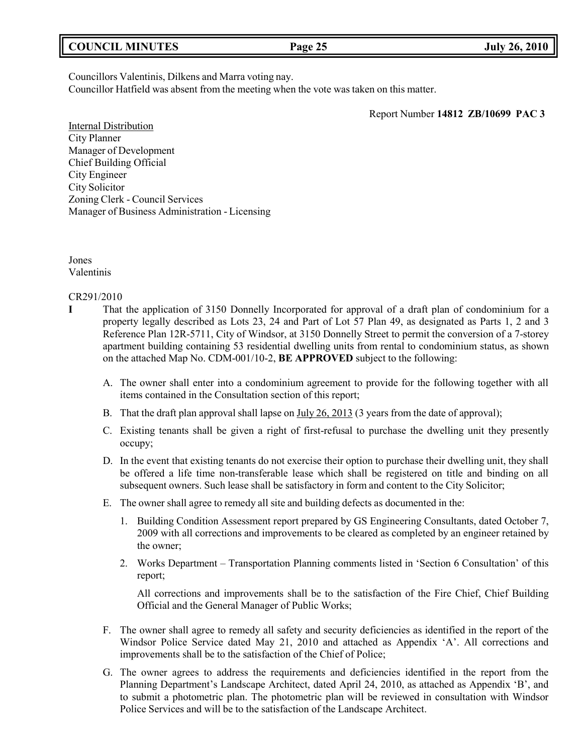| <b>COUNCIL MINUTES</b> | Page 25 | <b>July 26, 2010</b> |
|------------------------|---------|----------------------|
|                        |         |                      |

Councillors Valentinis, Dilkens and Marra voting nay.

Councillor Hatfield was absent from the meeting when the vote was taken on this matter.

Report Number **14812 ZB/10699 PAC 3**

Internal Distribution City Planner Manager of Development Chief Building Official City Engineer City Solicitor Zoning Clerk - Council Services Manager of Business Administration - Licensing

Jones Valentinis

CR291/2010

- **I** That the application of 3150 Donnelly Incorporated for approval of a draft plan of condominium for a property legally described as Lots 23, 24 and Part of Lot 57 Plan 49, as designated as Parts 1, 2 and 3 Reference Plan 12R-5711, City of Windsor, at 3150 Donnelly Street to permit the conversion of a 7-storey apartment building containing 53 residential dwelling units from rental to condominium status, as shown on the attached Map No. CDM-001/10-2, **BE APPROVED** subject to the following:
	- A. The owner shall enter into a condominium agreement to provide for the following together with all items contained in the Consultation section of this report;
	- B. That the draft plan approval shall lapse on July 26, 2013 (3 years from the date of approval);
	- C. Existing tenants shall be given a right of first-refusal to purchase the dwelling unit they presently occupy;
	- D. In the event that existing tenants do not exercise their option to purchase their dwelling unit, they shall be offered a life time non-transferable lease which shall be registered on title and binding on all subsequent owners. Such lease shall be satisfactory in form and content to the City Solicitor;
	- E. The owner shall agree to remedy all site and building defects as documented in the:
		- 1. Building Condition Assessment report prepared by GS Engineering Consultants, dated October 7, 2009 with all corrections and improvements to be cleared as completed by an engineer retained by the owner;
		- 2. Works Department Transportation Planning comments listed in 'Section 6 Consultation' of this report;

All corrections and improvements shall be to the satisfaction of the Fire Chief, Chief Building Official and the General Manager of Public Works;

- F. The owner shall agree to remedy all safety and security deficiencies as identified in the report of the Windsor Police Service dated May 21, 2010 and attached as Appendix 'A'. All corrections and improvements shall be to the satisfaction of the Chief of Police;
- G. The owner agrees to address the requirements and deficiencies identified in the report from the Planning Department's Landscape Architect, dated April 24, 2010, as attached as Appendix 'B', and to submit a photometric plan. The photometric plan will be reviewed in consultation with Windsor Police Services and will be to the satisfaction of the Landscape Architect.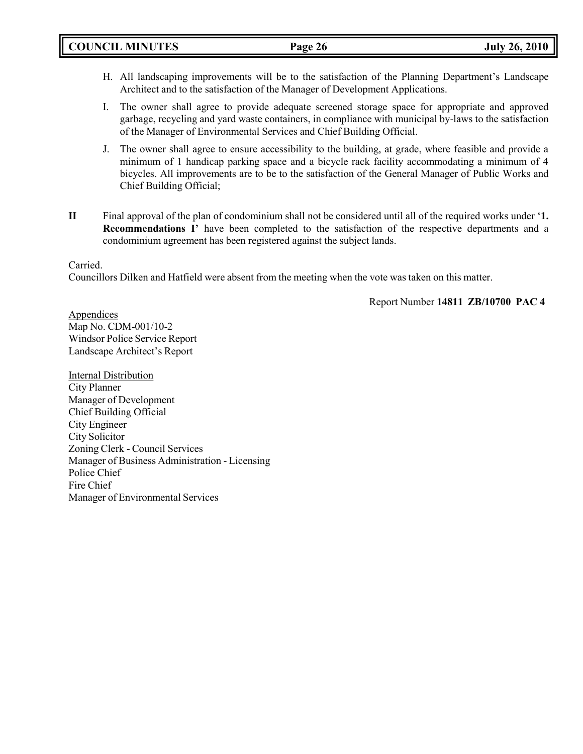- H. All landscaping improvements will be to the satisfaction of the Planning Department's Landscape Architect and to the satisfaction of the Manager of Development Applications.
- I. The owner shall agree to provide adequate screened storage space for appropriate and approved garbage, recycling and yard waste containers, in compliance with municipal by-laws to the satisfaction of the Manager of Environmental Services and Chief Building Official.
- J. The owner shall agree to ensure accessibility to the building, at grade, where feasible and provide a minimum of 1 handicap parking space and a bicycle rack facility accommodating a minimum of 4 bicycles. All improvements are to be to the satisfaction of the General Manager of Public Works and Chief Building Official;
- **II** Final approval of the plan of condominium shall not be considered until all of the required works under '**1. Recommendations I'** have been completed to the satisfaction of the respective departments and a condominium agreement has been registered against the subject lands.

Carried.

Councillors Dilken and Hatfield were absent from the meeting when the vote was taken on this matter.

Report Number **14811 ZB/10700 PAC 4**

Appendices Map No. CDM-001/10-2 Windsor Police Service Report Landscape Architect's Report

Internal Distribution City Planner Manager of Development Chief Building Official City Engineer City Solicitor Zoning Clerk - Council Services Manager of Business Administration - Licensing Police Chief Fire Chief Manager of Environmental Services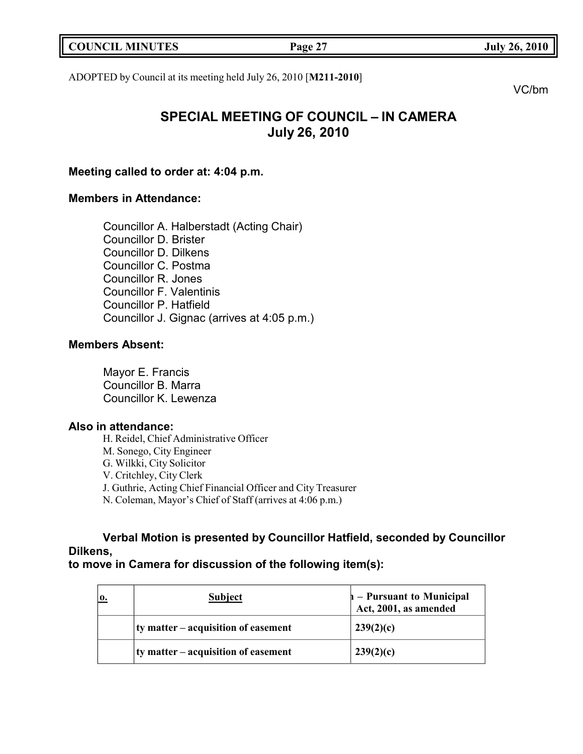| <b>COUNCIL MINUTES</b><br><b>July 26, 2010</b><br>Page 2 <sup>-</sup> |  |
|-----------------------------------------------------------------------|--|
|-----------------------------------------------------------------------|--|

ADOPTED by Council at its meeting held July 26, 2010 [**M211-2010**]

VC/bm

# **SPECIAL MEETING OF COUNCIL – IN CAMERA July 26, 2010**

# **Meeting called to order at: 4:04 p.m.**

# **Members in Attendance:**

Councillor A. Halberstadt (Acting Chair) Councillor D. Brister Councillor D. Dilkens Councillor C. Postma Councillor R. Jones Councillor F. Valentinis Councillor P. Hatfield Councillor J. Gignac (arrives at 4:05 p.m.)

# **Members Absent:**

Mayor E. Francis Councillor B. Marra Councillor K. Lewenza

# **Also in attendance:**

H. Reidel, Chief Administrative Officer M. Sonego, City Engineer G. Wilkki, City Solicitor V. Critchley, City Clerk J. Guthrie, Acting Chief Financial Officer and City Treasurer N. Coleman, Mayor's Chief of Staff (arrives at 4:06 p.m.)

**Verbal Motion is presented by Councillor Hatfield, seconded by Councillor Dilkens,**

# **to move in Camera for discussion of the following item(s):**

| $\mathbf{0}$ . | <b>Subject</b>                      | $\vert$ – Pursuant to Municipal<br>Act, 2001, as amended |
|----------------|-------------------------------------|----------------------------------------------------------|
|                | ty matter – acquisition of easement | 239(2)(c)                                                |
|                | ty matter – acquisition of easement | 239(2)(c)                                                |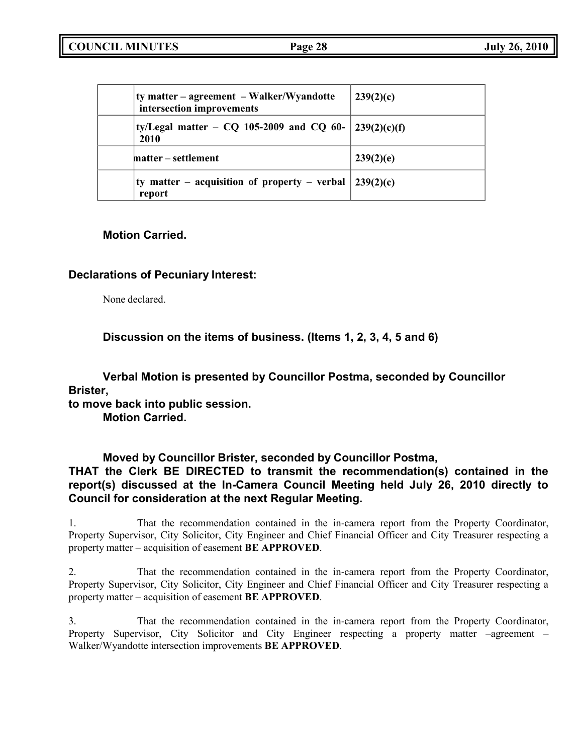| ty matter – agreement – Walker/Wyandotte<br>intersection improvements | 239(2)(c) |
|-----------------------------------------------------------------------|-----------|
| ty/Legal matter – CQ 105-2009 and CQ 60- $ 239(2)(c)(f) $<br>2010     |           |
| matter – settlement                                                   | 239(2)(e) |
| ty matter – acquisition of property – verbal $ 239(2)(c) $<br>report  |           |

# **Motion Carried.**

# **Declarations of Pecuniary Interest:**

None declared.

**Discussion on the items of business. (Items 1, 2, 3, 4, 5 and 6)**

**Verbal Motion is presented by Councillor Postma, seconded by Councillor Brister,**

**to move back into public session.**

**Motion Carried.**

# **Moved by Councillor Brister, seconded by Councillor Postma, THAT the Clerk BE DIRECTED to transmit the recommendation(s) contained in the report(s) discussed at the In-Camera Council Meeting held July 26, 2010 directly to Council for consideration at the next Regular Meeting.**

1. That the recommendation contained in the in-camera report from the Property Coordinator, Property Supervisor, City Solicitor, City Engineer and Chief Financial Officer and City Treasurer respecting a property matter – acquisition of easement **BE APPROVED**.

2. That the recommendation contained in the in-camera report from the Property Coordinator, Property Supervisor, City Solicitor, City Engineer and Chief Financial Officer and City Treasurer respecting a property matter – acquisition of easement **BE APPROVED**.

3. That the recommendation contained in the in-camera report from the Property Coordinator, Property Supervisor, City Solicitor and City Engineer respecting a property matter –agreement – Walker/Wyandotte intersection improvements **BE APPROVED**.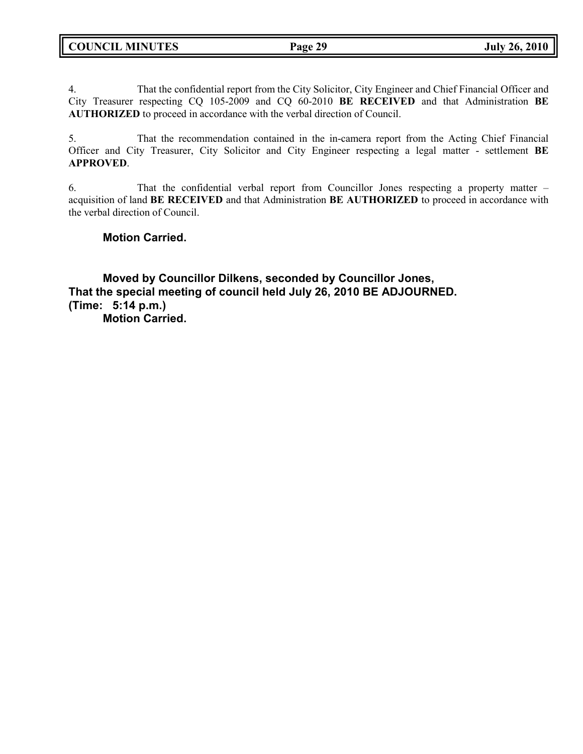4. That the confidential report from the City Solicitor, City Engineer and Chief Financial Officer and City Treasurer respecting CQ 105-2009 and CQ 60-2010 **BE RECEIVED** and that Administration **BE AUTHORIZED** to proceed in accordance with the verbal direction of Council.

5. That the recommendation contained in the in-camera report from the Acting Chief Financial Officer and City Treasurer, City Solicitor and City Engineer respecting a legal matter - settlement **BE APPROVED**.

6. That the confidential verbal report from Councillor Jones respecting a property matter – acquisition of land **BE RECEIVED** and that Administration **BE AUTHORIZED** to proceed in accordance with the verbal direction of Council.

**Motion Carried.**

**Moved by Councillor Dilkens, seconded by Councillor Jones, That the special meeting of council held July 26, 2010 BE ADJOURNED. (Time: 5:14 p.m.) Motion Carried.**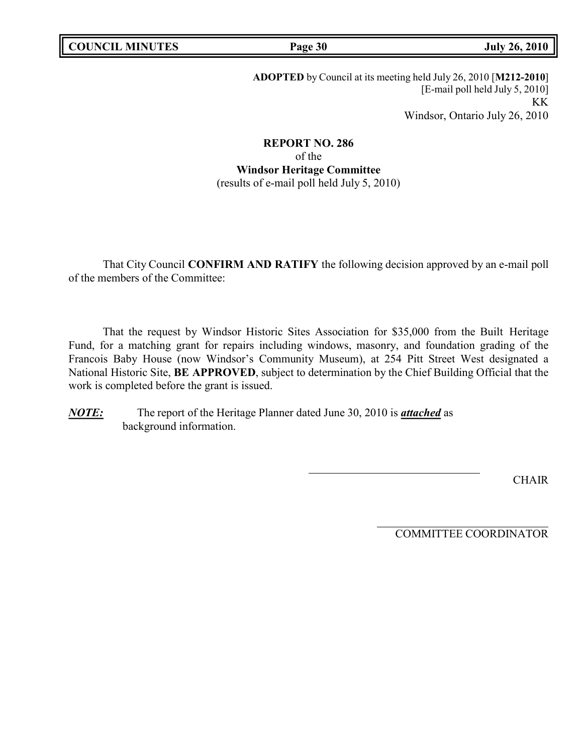**ADOPTED** by Council at its meeting held July 26, 2010 [**M212-2010**] [E-mail poll held July 5, 2010] KK Windsor, Ontario July 26, 2010

**REPORT NO. 286** of the **Windsor Heritage Committee** (results of e-mail poll held July 5, 2010)

That City Council **CONFIRM AND RATIFY** the following decision approved by an e-mail poll of the members of the Committee:

That the request by Windsor Historic Sites Association for \$35,000 from the Built Heritage Fund, for a matching grant for repairs including windows, masonry, and foundation grading of the Francois Baby House (now Windsor's Community Museum), at 254 Pitt Street West designated a National Historic Site, **BE APPROVED**, subject to determination by the Chief Building Official that the work is completed before the grant is issued.

*NOTE:* The report of the Heritage Planner dated June 30, 2010 is *attached* as background information.

CHAIR

COMMITTEE COORDINATOR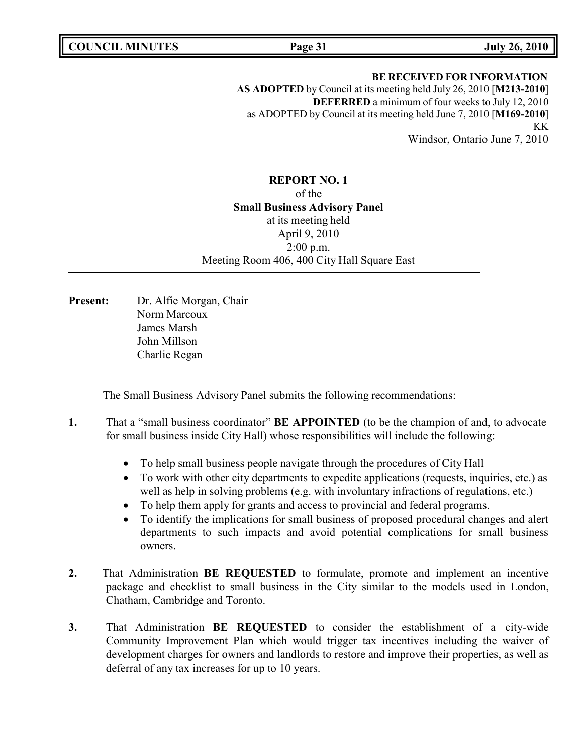**COUNCIL MINUTES Page 31 July 26, 2010**

# **BE RECEIVED FOR INFORMATION AS ADOPTED** by Council at its meeting held July 26, 2010 [**M213-2010**] **DEFERRED** a minimum of four weeks to July 12, 2010 as ADOPTED by Council at its meeting held June 7, 2010 [**M169-2010**] KK

Windsor, Ontario June 7, 2010

# **REPORT NO. 1** of the **Small Business Advisory Panel** at its meeting held April 9, 2010 2:00 p.m. Meeting Room 406, 400 City Hall Square East

**Present:** Dr. Alfie Morgan, Chair Norm Marcoux James Marsh John Millson Charlie Regan

The Small Business Advisory Panel submits the following recommendations:

- **1.** That a "small business coordinator" **BE APPOINTED** (to be the champion of and, to advocate for small business inside City Hall) whose responsibilities will include the following:
	- To help small business people navigate through the procedures of City Hall
	- To work with other city departments to expedite applications (requests, inquiries, etc.) as well as help in solving problems (e.g. with involuntary infractions of regulations, etc.)
	- To help them apply for grants and access to provincial and federal programs.
	- To identify the implications for small business of proposed procedural changes and alert departments to such impacts and avoid potential complications for small business owners.
- **2.** That Administration **BE REQUESTED** to formulate, promote and implement an incentive package and checklist to small business in the City similar to the models used in London, Chatham, Cambridge and Toronto.
- **3.** That Administration **BE REQUESTED** to consider the establishment of a city-wide Community Improvement Plan which would trigger tax incentives including the waiver of development charges for owners and landlords to restore and improve their properties, as well as deferral of any tax increases for up to 10 years.